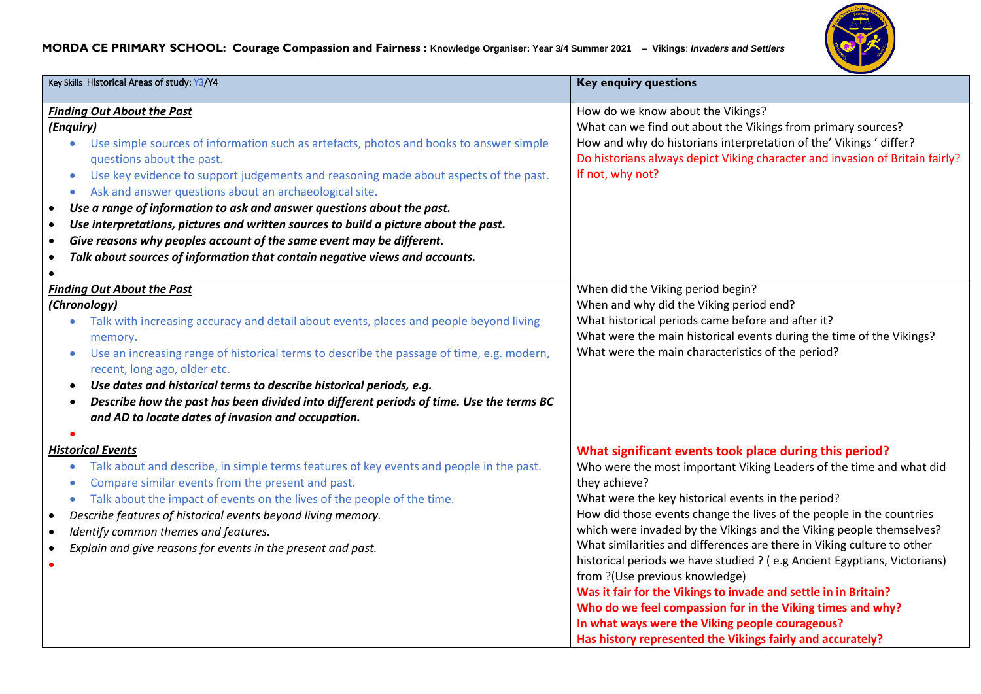## **MORDA CE PRIMARY SCHOOL: Courage Compassion and Fairness : Knowledge Organiser: Year 3/4 Summer 2021 – Vikings**: *Invaders and Settlers*



| Key Skills Historical Areas of study: Y3/Y4                                                                                                                                                                                                                                                                                                                                                                                                                                                                                                                                                                                                                                                                                                 | <b>Key enquiry questions</b>                                                                                                                                                                                                                                                                                                                                                                                                                                                                                                                                                                                                                                                                                                                                                                  |
|---------------------------------------------------------------------------------------------------------------------------------------------------------------------------------------------------------------------------------------------------------------------------------------------------------------------------------------------------------------------------------------------------------------------------------------------------------------------------------------------------------------------------------------------------------------------------------------------------------------------------------------------------------------------------------------------------------------------------------------------|-----------------------------------------------------------------------------------------------------------------------------------------------------------------------------------------------------------------------------------------------------------------------------------------------------------------------------------------------------------------------------------------------------------------------------------------------------------------------------------------------------------------------------------------------------------------------------------------------------------------------------------------------------------------------------------------------------------------------------------------------------------------------------------------------|
| <b>Finding Out About the Past</b><br>(Enquiry)<br>Use simple sources of information such as artefacts, photos and books to answer simple<br>$\bullet$<br>questions about the past.<br>Use key evidence to support judgements and reasoning made about aspects of the past.<br>$\bullet$<br>Ask and answer questions about an archaeological site.<br>$\bullet$<br>Use a range of information to ask and answer questions about the past.<br>$\bullet$<br>Use interpretations, pictures and written sources to build a picture about the past.<br>$\bullet$<br>Give reasons why peoples account of the same event may be different.<br>$\bullet$<br>Talk about sources of information that contain negative views and accounts.<br>$\bullet$ | How do we know about the Vikings?<br>What can we find out about the Vikings from primary sources?<br>How and why do historians interpretation of the' Vikings' differ?<br>Do historians always depict Viking character and invasion of Britain fairly?<br>If not, why not?                                                                                                                                                                                                                                                                                                                                                                                                                                                                                                                    |
| <b>Finding Out About the Past</b><br>(Chronology)<br>Talk with increasing accuracy and detail about events, places and people beyond living<br>memory.<br>Use an increasing range of historical terms to describe the passage of time, e.g. modern,<br>recent, long ago, older etc.<br>Use dates and historical terms to describe historical periods, e.g.<br>$\bullet$<br>Describe how the past has been divided into different periods of time. Use the terms BC<br>$\bullet$<br>and AD to locate dates of invasion and occupation.                                                                                                                                                                                                       | When did the Viking period begin?<br>When and why did the Viking period end?<br>What historical periods came before and after it?<br>What were the main historical events during the time of the Vikings?<br>What were the main characteristics of the period?                                                                                                                                                                                                                                                                                                                                                                                                                                                                                                                                |
| <b>Historical Events</b><br>Talk about and describe, in simple terms features of key events and people in the past.<br>$\bullet$<br>Compare similar events from the present and past.<br>Talk about the impact of events on the lives of the people of the time.<br>$\bullet$<br>Describe features of historical events beyond living memory.<br>$\bullet$<br>Identify common themes and features.<br>$\bullet$<br>Explain and give reasons for events in the present and past.<br>$\bullet$                                                                                                                                                                                                                                                | What significant events took place during this period?<br>Who were the most important Viking Leaders of the time and what did<br>they achieve?<br>What were the key historical events in the period?<br>How did those events change the lives of the people in the countries<br>which were invaded by the Vikings and the Viking people themselves?<br>What similarities and differences are there in Viking culture to other<br>historical periods we have studied ? (e.g Ancient Egyptians, Victorians)<br>from ?(Use previous knowledge)<br>Was it fair for the Vikings to invade and settle in in Britain?<br>Who do we feel compassion for in the Viking times and why?<br>In what ways were the Viking people courageous?<br>Has history represented the Vikings fairly and accurately? |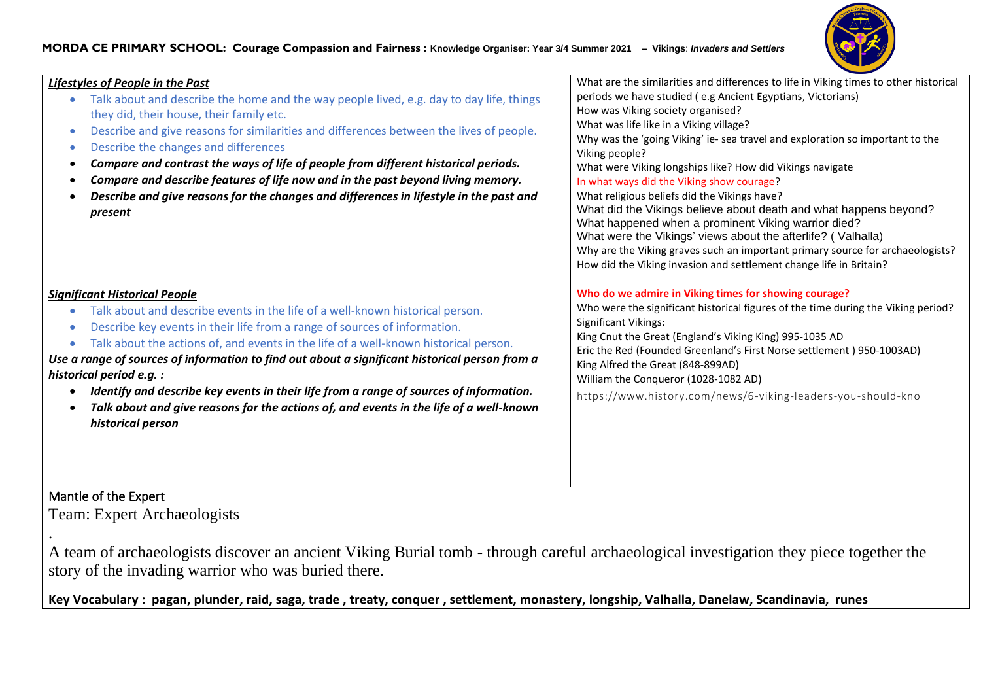

| Lifestyles of People in the Past<br>Talk about and describe the home and the way people lived, e.g. day to day life, things<br>they did, their house, their family etc.<br>Describe and give reasons for similarities and differences between the lives of people.<br>Describe the changes and differences<br>Compare and contrast the ways of life of people from different historical periods.<br>Compare and describe features of life now and in the past beyond living memory.<br>Describe and give reasons for the changes and differences in lifestyle in the past and<br>present                                          | What are the similarities and differences to life in Viking times to other historical<br>periods we have studied (e.g Ancient Egyptians, Victorians)<br>How was Viking society organised?<br>What was life like in a Viking village?<br>Why was the 'going Viking' ie- sea travel and exploration so important to the<br>Viking people?<br>What were Viking longships like? How did Vikings navigate<br>In what ways did the Viking show courage?<br>What religious beliefs did the Vikings have?<br>What did the Vikings believe about death and what happens beyond?<br>What happened when a prominent Viking warrior died?<br>What were the Vikings' views about the afterlife? (Valhalla)<br>Why are the Viking graves such an important primary source for archaeologists?<br>How did the Viking invasion and settlement change life in Britain? |
|-----------------------------------------------------------------------------------------------------------------------------------------------------------------------------------------------------------------------------------------------------------------------------------------------------------------------------------------------------------------------------------------------------------------------------------------------------------------------------------------------------------------------------------------------------------------------------------------------------------------------------------|-------------------------------------------------------------------------------------------------------------------------------------------------------------------------------------------------------------------------------------------------------------------------------------------------------------------------------------------------------------------------------------------------------------------------------------------------------------------------------------------------------------------------------------------------------------------------------------------------------------------------------------------------------------------------------------------------------------------------------------------------------------------------------------------------------------------------------------------------------|
| <b>Significant Historical People</b><br>Talk about and describe events in the life of a well-known historical person.<br>Describe key events in their life from a range of sources of information.<br>Talk about the actions of, and events in the life of a well-known historical person.<br>Use a range of sources of information to find out about a significant historical person from a<br>historical period e.g. :<br>Identify and describe key events in their life from a range of sources of information.<br>Talk about and give reasons for the actions of, and events in the life of a well-known<br>historical person | Who do we admire in Viking times for showing courage?<br>Who were the significant historical figures of the time during the Viking period?<br>Significant Vikings:<br>King Cnut the Great (England's Viking King) 995-1035 AD<br>Eric the Red (Founded Greenland's First Norse settlement) 950-1003AD)<br>King Alfred the Great (848-899AD)<br>William the Conqueror (1028-1082 AD)<br>https://www.history.com/news/6-viking-leaders-you-should-kno                                                                                                                                                                                                                                                                                                                                                                                                   |

## Mantle of the Expert

.

Team: Expert Archaeologists

A team of archaeologists discover an ancient Viking Burial tomb - through careful archaeological investigation they piece together the story of the invading warrior who was buried there.

**Key Vocabulary : pagan, plunder, raid, saga, trade , treaty, conquer , settlement, monastery, longship, Valhalla, Danelaw, Scandinavia, runes**